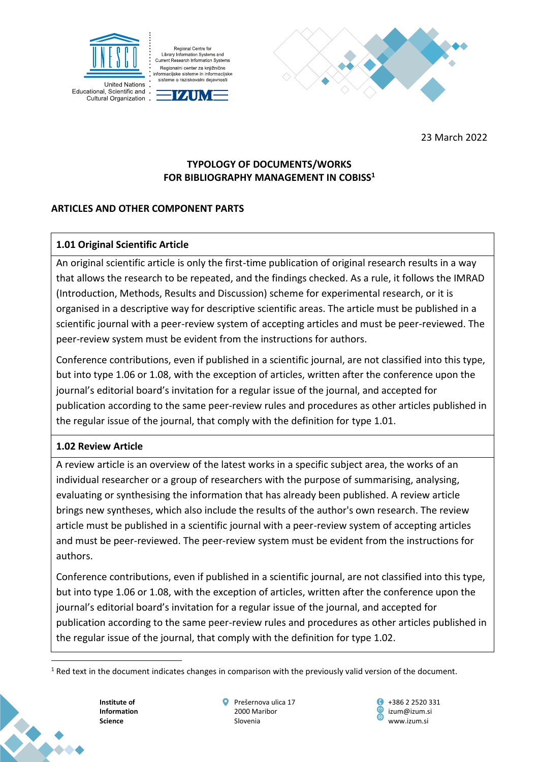

Regional Centre for Library Information Systems and Current Research Information Systems Regionalni center za knjižnične Tegionalni center za Knjižnične<br>Informacijske sisteme in informacijske sisteme o raziskovalni dejavnosti

IZAUME



23 March 2022

# **TYPOLOGY OF DOCUMENTS/WORKS FOR BIBLIOGRAPHY MANAGEMENT IN COBISS<sup>1</sup>**

# **ARTICLES AND OTHER COMPONENT PARTS**

# **1.01 Original Scientific Article**

An original scientific article is only the first-time publication of original research results in a way that allows the research to be repeated, and the findings checked. As a rule, it follows the IMRAD (Introduction, Methods, Results and Discussion) scheme for experimental research, or it is organised in a descriptive way for descriptive scientific areas. The article must be published in a scientific journal with a peer-review system of accepting articles and must be peer-reviewed. The peer-review system must be evident from the instructions for authors.

Conference contributions, even if published in a scientific journal, are not classified into this type, but into type 1.06 or 1.08, with the exception of articles, written after the conference upon the journal's editorial board's invitation for a regular issue of the journal, and accepted for publication according to the same peer-review rules and procedures as other articles published in the regular issue of the journal, that comply with the definition for type 1.01.

# **1.02 Review Article**

A review article is an overview of the latest works in a specific subject area, the works of an individual researcher or a group of researchers with the purpose of summarising, analysing, evaluating or synthesising the information that has already been published. A review article brings new syntheses, which also include the results of the author's own research. The review article must be published in a scientific journal with a peer-review system of accepting articles and must be peer-reviewed. The peer-review system must be evident from the instructions for authors.

Conference contributions, even if published in a scientific journal, are not classified into this type, but into type 1.06 or 1.08, with the exception of articles, written after the conference upon the journal's editorial board's invitation for a regular issue of the journal, and accepted for publication according to the same peer-review rules and procedures as other articles published in the regular issue of the journal, that comply with the definition for type 1.02.

**Institute of Information Science**



 $1$  Red text in the document indicates changes in comparison with the previously valid version of the document.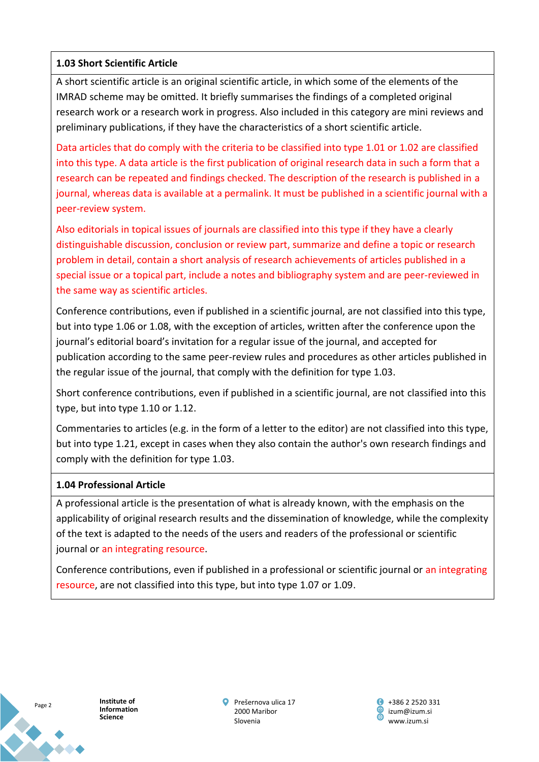## **1.03 Short Scientific Article**

A short scientific article is an original scientific article, in which some of the elements of the IMRAD scheme may be omitted. It briefly summarises the findings of a completed original research work or a research work in progress. Also included in this category are mini reviews and preliminary publications, if they have the characteristics of a short scientific article.

Data articles that do comply with the criteria to be classified into type 1.01 or 1.02 are classified into this type. A data article is the first publication of original research data in such a form that a research can be repeated and findings checked. The description of the research is published in a journal, whereas data is available at a permalink. It must be published in a scientific journal with a peer-review system.

Also editorials in topical issues of journals are classified into this type if they have a clearly distinguishable discussion, conclusion or review part, summarize and define a topic or research problem in detail, contain a short analysis of research achievements of articles published in a special issue or a topical part, include a notes and bibliography system and are peer-reviewed in the same way as scientific articles.

Conference contributions, even if published in a scientific journal, are not classified into this type, but into type 1.06 or 1.08, with the exception of articles, written after the conference upon the journal's editorial board's invitation for a regular issue of the journal, and accepted for publication according to the same peer-review rules and procedures as other articles published in the regular issue of the journal, that comply with the definition for type 1.03.

Short conference contributions, even if published in a scientific journal, are not classified into this type, but into type 1.10 or 1.12.

Commentaries to articles (e.g. in the form of a letter to the editor) are not classified into this type, but into type 1.21, except in cases when they also contain the author's own research findings and comply with the definition for type 1.03.

### **1.04 Professional Article**

A professional article is the presentation of what is already known, with the emphasis on the applicability of original research results and the dissemination of knowledge, while the complexity of the text is adapted to the needs of the users and readers of the professional or scientific journal or an integrating resource.

Conference contributions, even if published in a professional or scientific journal or an integrating resource, are not classified into this type, but into type 1.07 or 1.09.



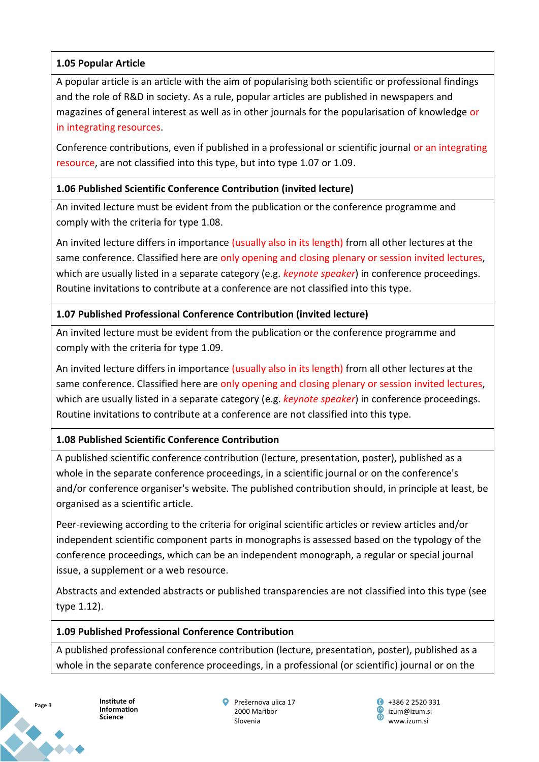## **1.05 Popular Article**

A popular article is an article with the aim of popularising both scientific or professional findings and the role of R&D in society. As a rule, popular articles are published in newspapers and magazines of general interest as well as in other journals for the popularisation of knowledge or in integrating resources.

Conference contributions, even if published in a professional or scientific journal or an integrating resource, are not classified into this type, but into type 1.07 or 1.09.

## **1.06 Published Scientific Conference Contribution (invited lecture)**

An invited lecture must be evident from the publication or the conference programme and comply with the criteria for type 1.08.

An invited lecture differs in importance (usually also in its length) from all other lectures at the same conference. Classified here are only opening and closing plenary or session invited lectures, which are usually listed in a separate category (e.g. *keynote speaker*) in conference proceedings. Routine invitations to contribute at a conference are not classified into this type.

## **1.07 Published Professional Conference Contribution (invited lecture)**

An invited lecture must be evident from the publication or the conference programme and comply with the criteria for type 1.09.

An invited lecture differs in importance (usually also in its length) from all other lectures at the same conference. Classified here are only opening and closing plenary or session invited lectures, which are usually listed in a separate category (e.g. *keynote speaker*) in conference proceedings. Routine invitations to contribute at a conference are not classified into this type.

# **1.08 Published Scientific Conference Contribution**

A published scientific conference contribution (lecture, presentation, poster), published as a whole in the separate conference proceedings, in a scientific journal or on the conference's and/or conference organiser's website. The published contribution should, in principle at least, be organised as a scientific article.

Peer-reviewing according to the criteria for original scientific articles or review articles and/or independent scientific component parts in monographs is assessed based on the typology of the conference proceedings, which can be an independent monograph, a regular or special journal issue, a supplement or a web resource.

Abstracts and extended abstracts or published transparencies are not classified into this type (see type 1.12).

### **1.09 Published Professional Conference Contribution**

A published professional conference contribution (lecture, presentation, poster), published as a whole in the separate conference proceedings, in a professional (or scientific) journal or on the

**Science**

Page 3

**Institute of Information**

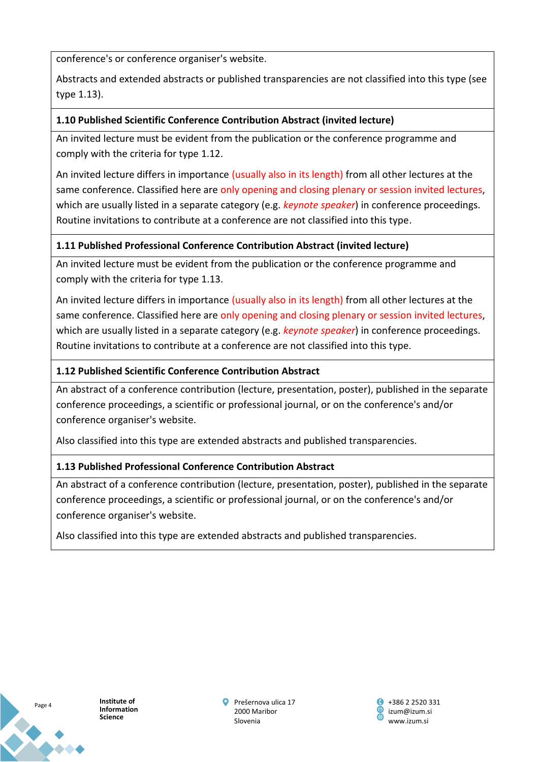conference's or conference organiser's website.

Abstracts and extended abstracts or published transparencies are not classified into this type (see type 1.13).

## **1.10 Published Scientific Conference Contribution Abstract (invited lecture)**

An invited lecture must be evident from the publication or the conference programme and comply with the criteria for type 1.12.

An invited lecture differs in importance (usually also in its length) from all other lectures at the same conference. Classified here are only opening and closing plenary or session invited lectures, which are usually listed in a separate category (e.g. *keynote speaker*) in conference proceedings. Routine invitations to contribute at a conference are not classified into this type.

## **1.11 Published Professional Conference Contribution Abstract (invited lecture)**

An invited lecture must be evident from the publication or the conference programme and comply with the criteria for type 1.13.

An invited lecture differs in importance (usually also in its length) from all other lectures at the same conference. Classified here are only opening and closing plenary or session invited lectures, which are usually listed in a separate category (e.g. *keynote speaker*) in conference proceedings. Routine invitations to contribute at a conference are not classified into this type.

## **1.12 Published Scientific Conference Contribution Abstract**

An abstract of a conference contribution (lecture, presentation, poster), published in the separate conference proceedings, a scientific or professional journal, or on the conference's and/or conference organiser's website.

Also classified into this type are extended abstracts and published transparencies.

# **1.13 Published Professional Conference Contribution Abstract**

An abstract of a conference contribution (lecture, presentation, poster), published in the separate conference proceedings, a scientific or professional journal, or on the conference's and/or conference organiser's website.

Also classified into this type are extended abstracts and published transparencies.



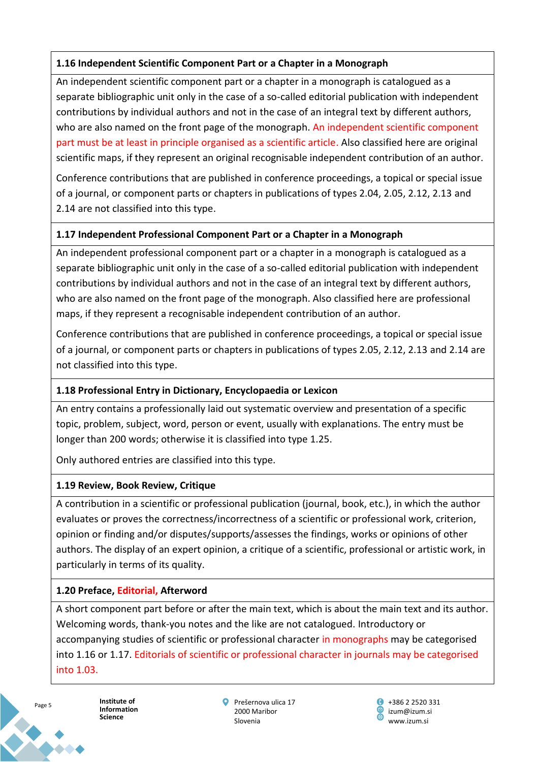## **1.16 Independent Scientific Component Part or a Chapter in a Monograph**

An independent scientific component part or a chapter in a monograph is catalogued as a separate bibliographic unit only in the case of a so-called editorial publication with independent contributions by individual authors and not in the case of an integral text by different authors, who are also named on the front page of the monograph. An independent scientific component part must be at least in principle organised as a scientific article. Also classified here are original scientific maps, if they represent an original recognisable independent contribution of an author.

Conference contributions that are published in conference proceedings, a topical or special issue of a journal, or component parts or chapters in publications of types 2.04, 2.05, 2.12, 2.13 and 2.14 are not classified into this type.

## **1.17 Independent Professional Component Part or a Chapter in a Monograph**

An independent professional component part or a chapter in a monograph is catalogued as a separate bibliographic unit only in the case of a so-called editorial publication with independent contributions by individual authors and not in the case of an integral text by different authors, who are also named on the front page of the monograph. Also classified here are professional maps, if they represent a recognisable independent contribution of an author.

Conference contributions that are published in conference proceedings, a topical or special issue of a journal, or component parts or chapters in publications of types 2.05, 2.12, 2.13 and 2.14 are not classified into this type.

# **1.18 Professional Entry in Dictionary, Encyclopaedia or Lexicon**

An entry contains a professionally laid out systematic overview and presentation of a specific topic, problem, subject, word, person or event, usually with explanations. The entry must be longer than 200 words; otherwise it is classified into type 1.25.

Only authored entries are classified into this type.

# **1.19 Review, Book Review, Critique**

A contribution in a scientific or professional publication (journal, book, etc.), in which the author evaluates or proves the correctness/incorrectness of a scientific or professional work, criterion, opinion or finding and/or disputes/supports/assesses the findings, works or opinions of other authors. The display of an expert opinion, a critique of a scientific, professional or artistic work, in particularly in terms of its quality.

# **1.20 Preface, Editorial, Afterword**

A short component part before or after the main text, which is about the main text and its author. Welcoming words, thank-you notes and the like are not catalogued. Introductory or accompanying studies of scientific or professional character in monographs may be categorised into 1.16 or 1.17. Editorials of scientific or professional character in journals may be categorised into 1.03.



**Institute of Information Science**

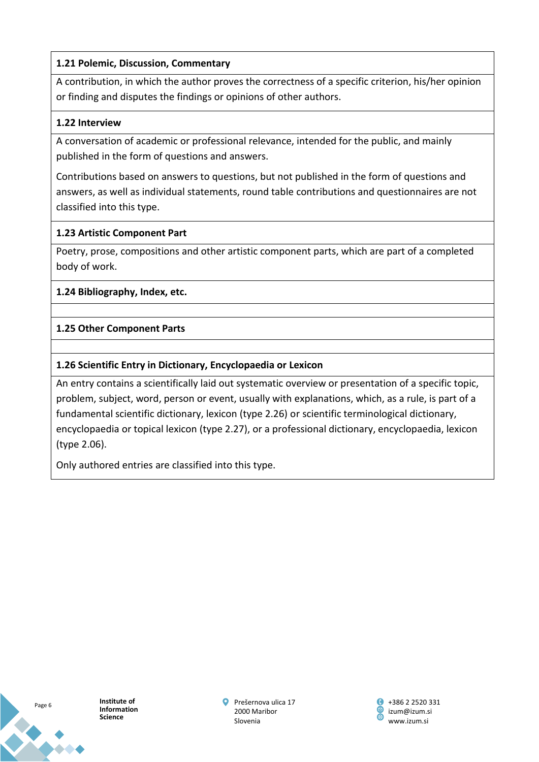## **1.21 Polemic, Discussion, Commentary**

A contribution, in which the author proves the correctness of a specific criterion, his/her opinion or finding and disputes the findings or opinions of other authors.

## **1.22 Interview**

A conversation of academic or professional relevance, intended for the public, and mainly published in the form of questions and answers.

Contributions based on answers to questions, but not published in the form of questions and answers, as well as individual statements, round table contributions and questionnaires are not classified into this type.

## **1.23 Artistic Component Part**

Poetry, prose, compositions and other artistic component parts, which are part of a completed body of work.

## **1.24 Bibliography, Index, etc.**

# **1.25 Other Component Parts**

## **1.26 Scientific Entry in Dictionary, Encyclopaedia or Lexicon**

An entry contains a scientifically laid out systematic overview or presentation of a specific topic, problem, subject, word, person or event, usually with explanations, which, as a rule, is part of a fundamental scientific dictionary, lexicon (type 2.26) or scientific terminological dictionary, encyclopaedia or topical lexicon (type 2.27), or a professional dictionary, encyclopaedia, lexicon (type 2.06).

Only authored entries are classified into this type.



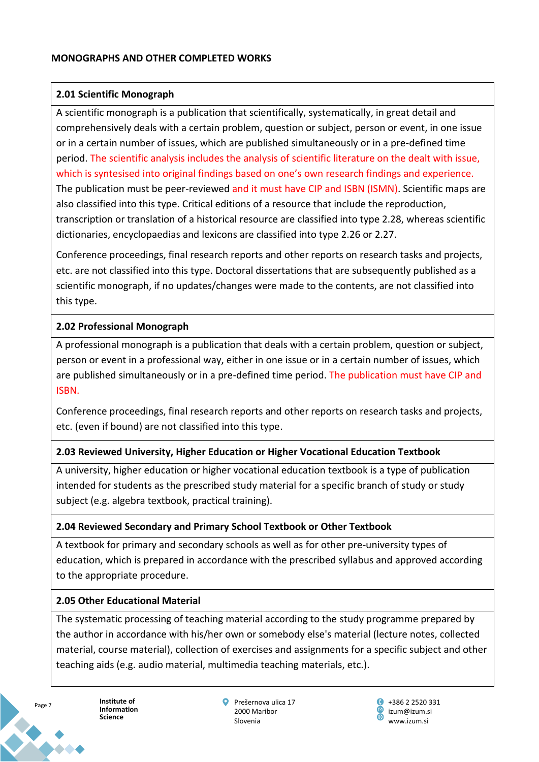## **2.01 Scientific Monograph**

A scientific monograph is a publication that scientifically, systematically, in great detail and comprehensively deals with a certain problem, question or subject, person or event, in one issue or in a certain number of issues, which are published simultaneously or in a pre-defined time period. The scientific analysis includes the analysis of scientific literature on the dealt with issue, which is syntesised into original findings based on one's own research findings and experience. The publication must be peer-reviewed and it must have CIP and ISBN (ISMN). Scientific maps are also classified into this type. Critical editions of a resource that include the reproduction, transcription or translation of a historical resource are classified into type 2.28, whereas scientific dictionaries, encyclopaedias and lexicons are classified into type 2.26 or 2.27.

Conference proceedings, final research reports and other reports on research tasks and projects, etc. are not classified into this type. Doctoral dissertations that are subsequently published as a scientific monograph, if no updates/changes were made to the contents, are not classified into this type.

# **2.02 Professional Monograph**

A professional monograph is a publication that deals with a certain problem, question or subject, person or event in a professional way, either in one issue or in a certain number of issues, which are published simultaneously or in a pre-defined time period. The publication must have CIP and ISBN.

Conference proceedings, final research reports and other reports on research tasks and projects, etc. (even if bound) are not classified into this type.

# **2.03 Reviewed University, Higher Education or Higher Vocational Education Textbook**

A university, higher education or higher vocational education textbook is a type of publication intended for students as the prescribed study material for a specific branch of study or study subject (e.g. algebra textbook, practical training).

# **2.04 Reviewed Secondary and Primary School Textbook or Other Textbook**

A textbook for primary and secondary schools as well as for other pre-university types of education, which is prepared in accordance with the prescribed syllabus and approved according to the appropriate procedure.

### **2.05 Other Educational Material**

The systematic processing of teaching material according to the study programme prepared by the author in accordance with his/her own or somebody else's material (lecture notes, collected material, course material), collection of exercises and assignments for a specific subject and other teaching aids (e.g. audio material, multimedia teaching materials, etc.).



**Institute of Information Science**

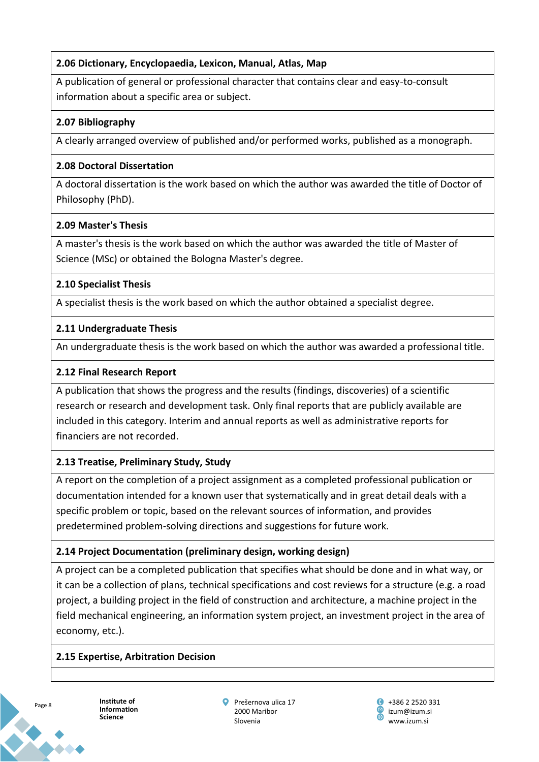# **2.06 Dictionary, Encyclopaedia, Lexicon, Manual, Atlas, Map**

A publication of general or professional character that contains clear and easy-to-consult information about a specific area or subject.

## **2.07 Bibliography**

A clearly arranged overview of published and/or performed works, published as a monograph.

### **2.08 Doctoral Dissertation**

A doctoral dissertation is the work based on which the author was awarded the title of Doctor of Philosophy (PhD).

## **2.09 Master's Thesis**

A master's thesis is the work based on which the author was awarded the title of Master of Science (MSc) or obtained the Bologna Master's degree.

# **2.10 Specialist Thesis**

A specialist thesis is the work based on which the author obtained a specialist degree.

### **2.11 Undergraduate Thesis**

An undergraduate thesis is the work based on which the author was awarded a professional title.

## **2.12 Final Research Report**

A publication that shows the progress and the results (findings, discoveries) of a scientific research or research and development task. Only final reports that are publicly available are included in this category. Interim and annual reports as well as administrative reports for financiers are not recorded.

# **2.13 Treatise, Preliminary Study, Study**

A report on the completion of a project assignment as a completed professional publication or documentation intended for a known user that systematically and in great detail deals with a specific problem or topic, based on the relevant sources of information, and provides predetermined problem-solving directions and suggestions for future work.

# **2.14 Project Documentation (preliminary design, working design)**

A project can be a completed publication that specifies what should be done and in what way, or it can be a collection of plans, technical specifications and cost reviews for a structure (e.g. a road project, a building project in the field of construction and architecture, a machine project in the field mechanical engineering, an information system project, an investment project in the area of economy, etc.).

### **2.15 Expertise, Arbitration Decision**



**Institute of Information Science**

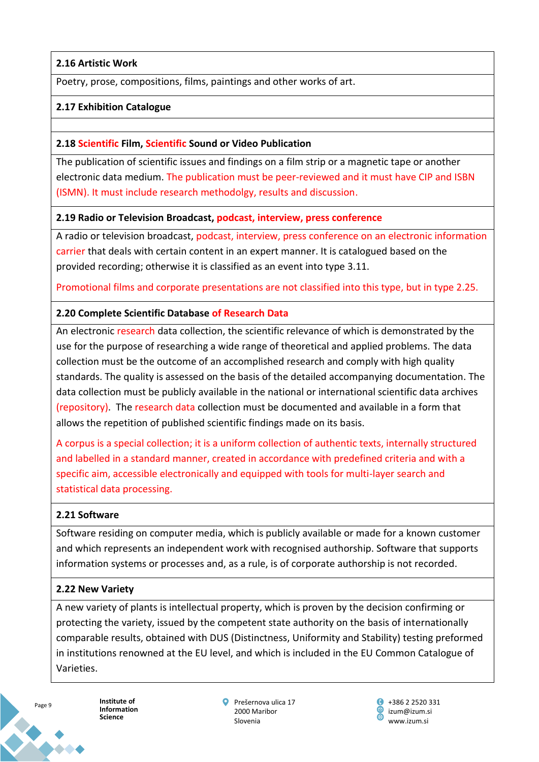## **2.16 Artistic Work**

Poetry, prose, compositions, films, paintings and other works of art.

### **2.17 Exhibition Catalogue**

#### **2.18 Scientific Film, Scientific Sound or Video Publication**

The publication of scientific issues and findings on a film strip or a magnetic tape or another electronic data medium. The publication must be peer-reviewed and it must have CIP and ISBN (ISMN). It must include research methodolgy, results and discussion.

#### **2.19 Radio or Television Broadcast, podcast, interview, press conference**

A radio or television broadcast, podcast, interview, press conference on an electronic information carrier that deals with certain content in an expert manner. It is catalogued based on the provided recording; otherwise it is classified as an event into type 3.11.

Promotional films and corporate presentations are not classified into this type, but in type 2.25.

#### **2.20 Complete Scientific Database of Research Data**

An electronic research data collection, the scientific relevance of which is demonstrated by the use for the purpose of researching a wide range of theoretical and applied problems. The data collection must be the outcome of an accomplished research and comply with high quality standards. The quality is assessed on the basis of the detailed accompanying documentation. The data collection must be publicly available in the national or international scientific data archives (repository). The research data collection must be documented and available in a form that allows the repetition of published scientific findings made on its basis.

A corpus is a special collection; it is a uniform collection of authentic texts, internally structured and labelled in a standard manner, created in accordance with predefined criteria and with a specific aim, accessible electronically and equipped with tools for multi-layer search and statistical data processing.

### **2.21 Software**

Software residing on computer media, which is publicly available or made for a known customer and which represents an independent work with recognised authorship. Software that supports information systems or processes and, as a rule, is of corporate authorship is not recorded.

### **2.22 New Variety**

A new variety of plants is intellectual property, which is proven by the decision confirming or protecting the variety, issued by the competent state authority on the basis of internationally comparable results, obtained with DUS (Distinctness, Uniformity and Stability) testing preformed in institutions renowned at the EU level, and which is included in the EU Common Catalogue of Varieties.



**Institute of Information Science**

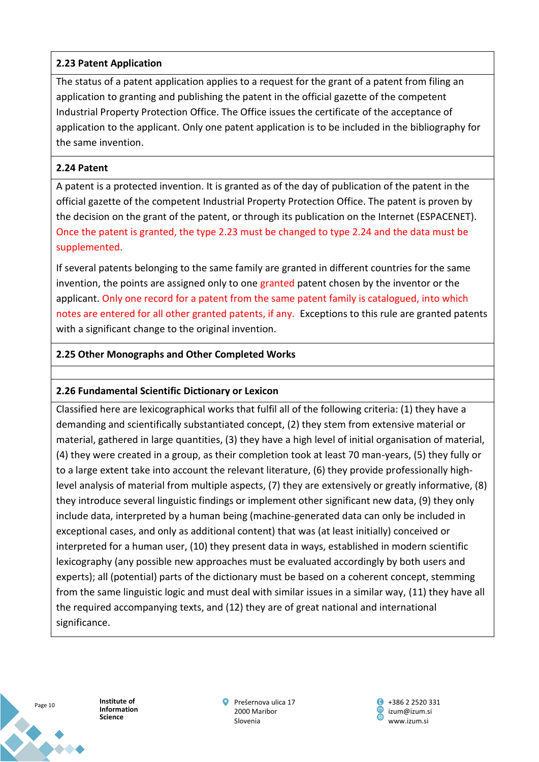## **2.23 Patent Application**

The status of a patent application applies to a request for the grant of a patent from filing an application to granting and publishing the patent in the official gazette of the competent Industrial Property Protection Office. The Office issues the certificate of the acceptance of application to the applicant. Only one patent application is to be included in the bibliography for the same invention.

## **2.24 Patent**

A patent is a protected invention. It is granted as of the day of publication of the patent in the official gazette of the competent Industrial Property Protection Office. The patent is proven by the decision on the grant of the patent, or through its publication on the Internet (ESPACENET). Once the patent is granted, the type 2.23 must be changed to type 2.24 and the data must be supplemented.

If several patents belonging to the same family are granted in different countries for the same invention, the points are assigned only to one granted patent chosen by the inventor or the applicant. Only one record for a patent from the same patent family is catalogued, into which notes are entered for all other granted patents, if any. Exceptions to this rule are granted patents with a significant change to the original invention.

## **2.25 Other Monographs and Other Completed Works**

### **2.26 Fundamental Scientific Dictionary or Lexicon**

Classified here are lexicographical works that fulfil all of the following criteria: (1) they have a demanding and scientifically substantiated concept, (2) they stem from extensive material or material, gathered in large quantities, (3) they have a high level of initial organisation of material, (4) they were created in a group, as their completion took at least 70 man-years, (5) they fully or to a large extent take into account the relevant literature, (6) they provide professionally highlevel analysis of material from multiple aspects, (7) they are extensively or greatly informative, (8) they introduce several linguistic findings or implement other significant new data, (9) they only include data, interpreted by a human being (machine-generated data can only be included in exceptional cases, and only as additional content) that was (at least initially) conceived or interpreted for a human user, (10) they present data in ways, established in modern scientific lexicography (any possible new approaches must be evaluated accordingly by both users and experts); all (potential) parts of the dictionary must be based on a coherent concept, stemming from the same linguistic logic and must deal with similar issues in a similar way, (11) they have all the required accompanying texts, and (12) they are of great national and international significance.



**Institute of Information Science**

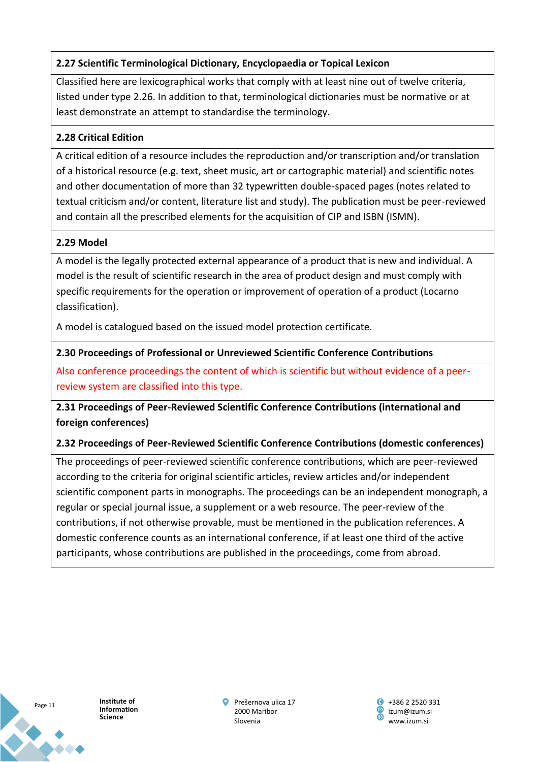# **2.27 Scientific Terminological Dictionary, Encyclopaedia or Topical Lexicon**

Classified here are lexicographical works that comply with at least nine out of twelve criteria, listed under type 2.26. In addition to that, terminological dictionaries must be normative or at least demonstrate an attempt to standardise the terminology.

# **2.28 Critical Edition**

A critical edition of a resource includes the reproduction and/or transcription and/or translation of a historical resource (e.g. text, sheet music, art or cartographic material) and scientific notes and other documentation of more than 32 typewritten double-spaced pages (notes related to textual criticism and/or content, literature list and study). The publication must be peer-reviewed and contain all the prescribed elements for the acquisition of CIP and ISBN (ISMN).

# **2.29 Model**

A model is the legally protected external appearance of a product that is new and individual. A model is the result of scientific research in the area of product design and must comply with specific requirements for the operation or improvement of operation of a product (Locarno classification).

A model is catalogued based on the issued model protection certificate.

# **2.30 Proceedings of Professional or Unreviewed Scientific Conference Contributions**

Also conference proceedings the content of which is scientific but without evidence of a peerreview system are classified into this type.

**2.31 Proceedings of Peer-Reviewed Scientific Conference Contributions (international and foreign conferences)**

# **2.32 Proceedings of Peer-Reviewed Scientific Conference Contributions (domestic conferences)**

The proceedings of peer-reviewed scientific conference contributions, which are peer-reviewed according to the criteria for original scientific articles, review articles and/or independent scientific component parts in monographs. The proceedings can be an independent monograph, a regular or special journal issue, a supplement or a web resource. The peer-review of the contributions, if not otherwise provable, must be mentioned in the publication references. A domestic conference counts as an international conference, if at least one third of the active participants, whose contributions are published in the proceedings, come from abroad.



**Institute of Information Science**

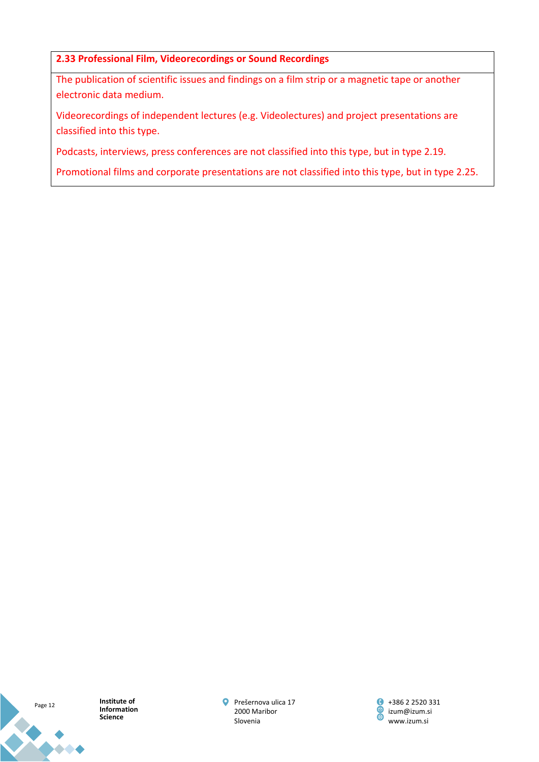### **2.33 Professional Film, Videorecordings or Sound Recordings**

The publication of scientific issues and findings on a film strip or a magnetic tape or another electronic data medium.

Videorecordings of independent lectures (e.g. Videolectures) and project presentations are classified into this type.

Podcasts, interviews, press conferences are not classified into this type, but in type 2.19.

Promotional films and corporate presentations are not classified into this type, but in type 2.25.

Page 12

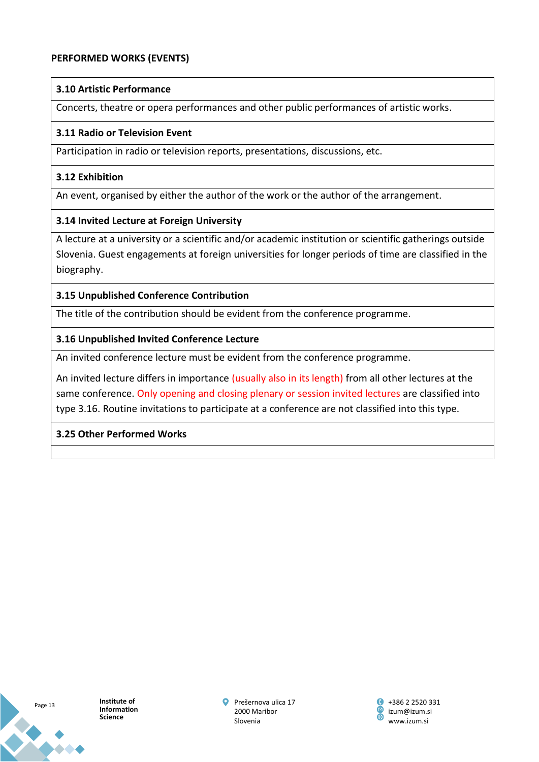#### **PERFORMED WORKS (EVENTS)**

#### **3.10 Artistic Performance**

Concerts, theatre or opera performances and other public performances of artistic works.

#### **3.11 Radio or Television Event**

Participation in radio or television reports, presentations, discussions, etc.

#### **3.12 Exhibition**

An event, organised by either the author of the work or the author of the arrangement.

### **3.14 Invited Lecture at Foreign University**

A lecture at a university or a scientific and/or academic institution or scientific gatherings outside Slovenia. Guest engagements at foreign universities for longer periods of time are classified in the biography.

### **3.15 Unpublished Conference Contribution**

The title of the contribution should be evident from the conference programme.

### **3.16 Unpublished Invited Conference Lecture**

An invited conference lecture must be evident from the conference programme.

An invited lecture differs in importance (usually also in its length) from all other lectures at the same conference. Only opening and closing plenary or session invited lectures are classified into type 3.16. Routine invitations to participate at a conference are not classified into this type.

### **3.25 Other Performed Works**



**Institute of Information Science**

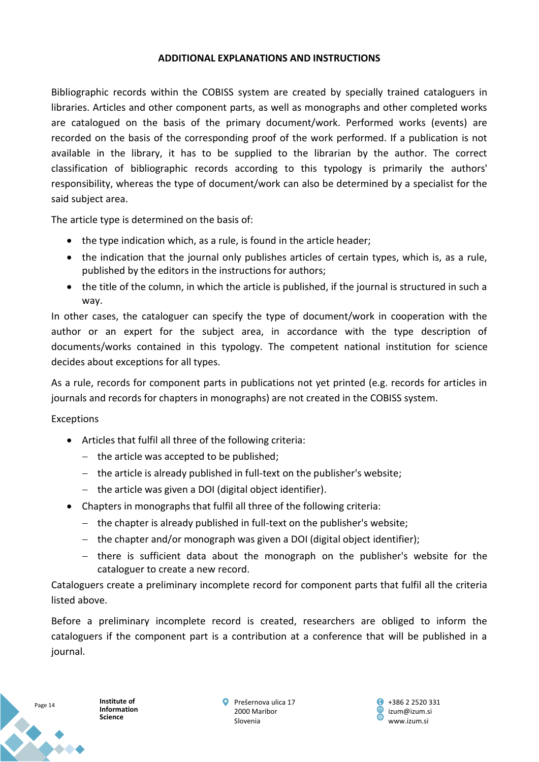#### **ADDITIONAL EXPLANATIONS AND INSTRUCTIONS**

Bibliographic records within the COBISS system are created by specially trained cataloguers in libraries. Articles and other component parts, as well as monographs and other completed works are catalogued on the basis of the primary document/work. Performed works (events) are recorded on the basis of the corresponding proof of the work performed. If a publication is not available in the library, it has to be supplied to the librarian by the author. The correct classification of bibliographic records according to this typology is primarily the authors' responsibility, whereas the type of document/work can also be determined by a specialist for the said subject area.

The article type is determined on the basis of:

- the type indication which, as a rule, is found in the article header;
- the indication that the journal only publishes articles of certain types, which is, as a rule, published by the editors in the instructions for authors;
- the title of the column, in which the article is published, if the journal is structured in such a way.

In other cases, the cataloguer can specify the type of document/work in cooperation with the author or an expert for the subject area, in accordance with the type description of documents/works contained in this typology. The competent national institution for science decides about exceptions for all types.

As a rule, records for component parts in publications not yet printed (e.g. records for articles in journals and records for chapters in monographs) are not created in the COBISS system.

Exceptions

- Articles that fulfil all three of the following criteria:
	- − the article was accepted to be published;
	- − the article is already published in full-text on the publisher's website;
	- − the article was given a DOI (digital object identifier).
- Chapters in monographs that fulfil all three of the following criteria:
	- − the chapter is already published in full-text on the publisher's website;
	- − the chapter and/or monograph was given a DOI (digital object identifier);
	- − there is sufficient data about the monograph on the publisher's website for the cataloguer to create a new record.

Cataloguers create a preliminary incomplete record for component parts that fulfil all the criteria listed above.

Before a preliminary incomplete record is created, researchers are obliged to inform the cataloguers if the component part is a contribution at a conference that will be published in a journal.



**Institute of Information Science**